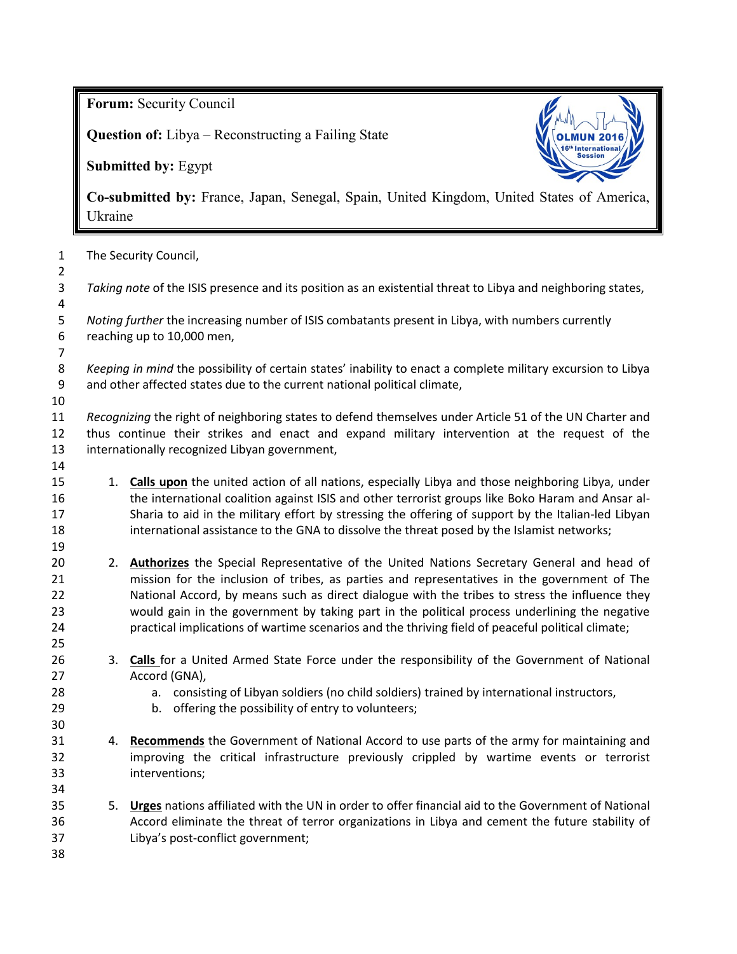**Forum:** Security Council

**Question of:** Libya – Reconstructing a Failing State

**Submitted by:** Egypt



**Co-submitted by:** France, Japan, Senegal, Spain, United Kingdom, United States of America, Ukraine

| The Security Council,                                                                                                                                                                                                                                    |                                                                                                                                                                                                    |  |
|----------------------------------------------------------------------------------------------------------------------------------------------------------------------------------------------------------------------------------------------------------|----------------------------------------------------------------------------------------------------------------------------------------------------------------------------------------------------|--|
|                                                                                                                                                                                                                                                          | Taking note of the ISIS presence and its position as an existential threat to Libya and neighboring states,                                                                                        |  |
| Noting further the increasing number of ISIS combatants present in Libya, with numbers currently<br>reaching up to 10,000 men,                                                                                                                           |                                                                                                                                                                                                    |  |
|                                                                                                                                                                                                                                                          |                                                                                                                                                                                                    |  |
| Keeping in mind the possibility of certain states' inability to enact a complete military excursion to Libya<br>and other affected states due to the current national political climate,                                                                 |                                                                                                                                                                                                    |  |
|                                                                                                                                                                                                                                                          |                                                                                                                                                                                                    |  |
| Recognizing the right of neighboring states to defend themselves under Article 51 of the UN Charter and<br>thus continue their strikes and enact and expand military intervention at the request of the<br>internationally recognized Libyan government, |                                                                                                                                                                                                    |  |
|                                                                                                                                                                                                                                                          |                                                                                                                                                                                                    |  |
|                                                                                                                                                                                                                                                          | 1. Calls upon the united action of all nations, especially Libya and those neighboring Libya, under                                                                                                |  |
|                                                                                                                                                                                                                                                          | the international coalition against ISIS and other terrorist groups like Boko Haram and Ansar al-                                                                                                  |  |
|                                                                                                                                                                                                                                                          | Sharia to aid in the military effort by stressing the offering of support by the Italian-led Libyan<br>international assistance to the GNA to dissolve the threat posed by the Islamist networks;  |  |
|                                                                                                                                                                                                                                                          |                                                                                                                                                                                                    |  |
|                                                                                                                                                                                                                                                          | 2. Authorizes the Special Representative of the United Nations Secretary General and head of                                                                                                       |  |
|                                                                                                                                                                                                                                                          | mission for the inclusion of tribes, as parties and representatives in the government of The                                                                                                       |  |
|                                                                                                                                                                                                                                                          | National Accord, by means such as direct dialogue with the tribes to stress the influence they                                                                                                     |  |
|                                                                                                                                                                                                                                                          | would gain in the government by taking part in the political process underlining the negative<br>practical implications of wartime scenarios and the thriving field of peaceful political climate; |  |
|                                                                                                                                                                                                                                                          |                                                                                                                                                                                                    |  |
|                                                                                                                                                                                                                                                          | 3. Calls for a United Armed State Force under the responsibility of the Government of National                                                                                                     |  |
|                                                                                                                                                                                                                                                          | Accord (GNA),                                                                                                                                                                                      |  |
|                                                                                                                                                                                                                                                          | a. consisting of Libyan soldiers (no child soldiers) trained by international instructors,                                                                                                         |  |
|                                                                                                                                                                                                                                                          | b. offering the possibility of entry to volunteers;                                                                                                                                                |  |
|                                                                                                                                                                                                                                                          | 4. Recommends the Government of National Accord to use parts of the army for maintaining and                                                                                                       |  |
|                                                                                                                                                                                                                                                          | improving the critical infrastructure previously crippled by wartime events or terrorist                                                                                                           |  |
|                                                                                                                                                                                                                                                          | interventions;                                                                                                                                                                                     |  |
|                                                                                                                                                                                                                                                          |                                                                                                                                                                                                    |  |
|                                                                                                                                                                                                                                                          | 5. Urges nations affiliated with the UN in order to offer financial aid to the Government of National                                                                                              |  |
|                                                                                                                                                                                                                                                          | Accord eliminate the threat of terror organizations in Libya and cement the future stability of<br>Libya's post-conflict government;                                                               |  |
|                                                                                                                                                                                                                                                          |                                                                                                                                                                                                    |  |
|                                                                                                                                                                                                                                                          |                                                                                                                                                                                                    |  |